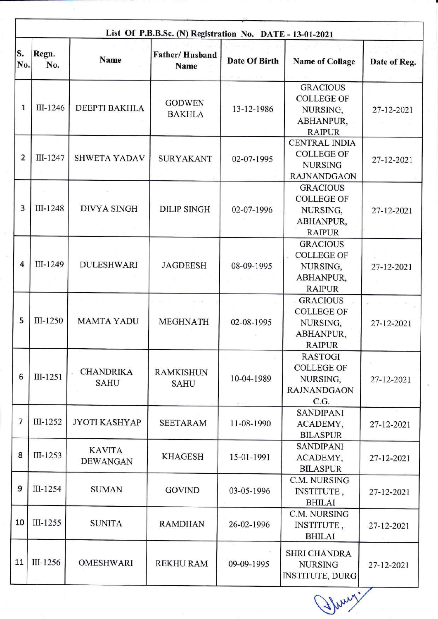|                | List Of P.B.B.Sc. (N) Registration No. DATE - 13-01-2021 |                                  |                                      |                      |                                                                                   |              |  |
|----------------|----------------------------------------------------------|----------------------------------|--------------------------------------|----------------------|-----------------------------------------------------------------------------------|--------------|--|
| S.<br>No.      | Regn.<br>No.                                             | Name                             | <b>Father/Husband</b><br><b>Name</b> | <b>Date Of Birth</b> | <b>Name of Collage</b>                                                            | Date of Reg. |  |
| $\mathbf{1}$   | III-1246                                                 | <b>DEEPTI BAKHLA</b>             | <b>GODWEN</b><br><b>BAKHLA</b>       | 13-12-1986           | <b>GRACIOUS</b><br><b>COLLEGE OF</b><br>NURSING,<br>ABHANPUR,<br><b>RAIPUR</b>    | 27-12-2021   |  |
| $\overline{2}$ | III-1247                                                 | <b>SHWETA YADAV</b>              | <b>SURYAKANT</b>                     | 02-07-1995           | <b>CENTRAL INDIA</b><br><b>COLLEGE OF</b><br><b>NURSING</b><br><b>RAJNANDGAON</b> | 27-12-2021   |  |
| 3              | III-1248                                                 | <b>DIVYA SINGH</b>               | <b>DILIP SINGH</b>                   | 02-07-1996           | <b>GRACIOUS</b><br><b>COLLEGE OF</b><br>NURSING,<br>ABHANPUR,<br><b>RAIPUR</b>    | 27-12-2021   |  |
| 4              | III-1249                                                 | <b>DULESHWARI</b>                | <b>JAGDEESH</b>                      | 08-09-1995           | <b>GRACIOUS</b><br><b>COLLEGE OF</b><br>NURSING,<br>ABHANPUR,<br><b>RAIPUR</b>    | 27-12-2021   |  |
| 5              | III-1250                                                 | <b>MAMTA YADU</b>                | <b>MEGHNATH</b>                      | 02-08-1995           | <b>GRACIOUS</b><br><b>COLLEGE OF</b><br>NURSING,<br>ABHANPUR,<br><b>RAIPUR</b>    | 27-12-2021   |  |
| 6              | III-1251                                                 | <b>CHANDRIKA</b><br><b>SAHU</b>  | <b>RAMKISHUN</b><br><b>SAHU</b>      | 10-04-1989           | <b>RASTOGI</b><br><b>COLLEGE OF</b><br>NURSING,<br><b>RAJNANDGAON</b><br>C.G.     | 27-12-2021   |  |
| 7              | $III-1252$                                               | <b>JYOTI KASHYAP</b>             | <b>SEETARAM</b>                      | 11-08-1990           | <b>SANDIPANI</b><br>ACADEMY,<br><b>BILASPUR</b>                                   | 27-12-2021   |  |
| 8              | III-1253                                                 | <b>KAVITA</b><br><b>DEWANGAN</b> | <b>KHAGESH</b>                       | 15-01-1991           | <b>SANDIPANI</b><br>ACADEMY,<br><b>BILASPUR</b>                                   | 27-12-2021   |  |
| 9              | III-1254                                                 | <b>SUMAN</b>                     | <b>GOVIND</b>                        | 03-05-1996           | C.M. NURSING<br>INSTITUTE,<br><b>BHILAI</b>                                       | 27-12-2021   |  |
| 10             | III-1255                                                 | <b>SUNITA</b>                    | <b>RAMDHAN</b>                       | 26-02-1996           | C.M. NURSING<br>INSTITUTE,<br><b>BHILAI</b>                                       | 27-12-2021   |  |
| 11             | III-1256                                                 | <b>OMESHWARI</b>                 | <b>REKHU RAM</b>                     | 09-09-1995           | <b>SHRI CHANDRA</b><br><b>NURSING</b><br><b>INSTITUTE, DURG</b>                   | 27-12-2021   |  |

Thury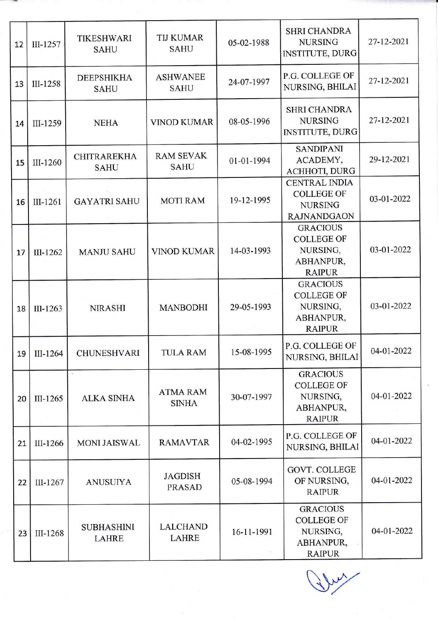| 12 | III-1257 | <b>TIKESHWARI</b><br><b>SAHU</b>  | <b>TIJ KUMAR</b><br><b>SAHU</b> | 05-02-1988 | <b>SHRI CHANDRA</b><br><b>NURSING</b><br><b>INSTITUTE, DURG</b>                   | 27-12-2021 |
|----|----------|-----------------------------------|---------------------------------|------------|-----------------------------------------------------------------------------------|------------|
| 13 | III-1258 | <b>DEEPSHIKHA</b><br><b>SAHU</b>  | <b>ASHWANEE</b><br><b>SAHU</b>  | 24-07-1997 | P.G. COLLEGE OF<br>NURSING, BHILAI                                                | 27-12-2021 |
| 14 | III-1259 | <b>NEHA</b>                       | <b>VINOD KUMAR</b>              | 08-05-1996 | <b>SHRI CHANDRA</b><br><b>NURSING</b><br><b>INSTITUTE, DURG</b>                   | 27-12-2021 |
| 15 | III-1260 | <b>CHITRAREKHA</b><br><b>SAHU</b> | <b>RAM SEVAK</b><br><b>SAHU</b> | 01-01-1994 | <b>SANDIPANI</b><br>ACADEMY,<br>ACHHOTI, DURG                                     | 29-12-2021 |
| 16 | III-1261 | <b>GAYATRI SAHU</b>               | <b>MOTI RAM</b>                 | 19-12-1995 | <b>CENTRAL INDIA</b><br><b>COLLEGE OF</b><br><b>NURSING</b><br><b>RAJNANDGAON</b> | 03-01-2022 |
| 17 | III-1262 | <b>MANJU SAHU</b>                 | <b>VINOD KUMAR</b>              | 14-03-1993 | <b>GRACIOUS</b><br><b>COLLEGE OF</b><br>NURSING,<br>ABHANPUR,<br><b>RAIPUR</b>    | 03-01-2022 |
| 18 | III-1263 | <b>NIRASHI</b>                    | <b>MANBODHI</b>                 | 29-05-1993 | <b>GRACIOUS</b><br><b>COLLEGE OF</b><br>NURSING.<br>ABHANPUR,<br><b>RAIPUR</b>    | 03-01-2022 |
| 19 | III-1264 | <b>CHUNESHVARI</b>                | <b>TULA RAM</b>                 | 15-08-1995 | P.G. COLLEGE OF<br><b>NURSING, BHILAI</b>                                         | 04-01-2022 |
| 20 | III-1265 | <b>ALKA SINHA</b>                 | <b>ATMA RAM</b><br><b>SINHA</b> | 30-07-1997 | <b>GRACIOUS</b><br><b>COLLEGE OF</b><br>NURSING,<br>ABHANPUR,<br><b>RAIPUR</b>    | 04-01-2022 |
| 21 | III-1266 | <b>MONI JAISWAL</b>               | <b>RAMAVTAR</b>                 | 04-02-1995 | P.G. COLLEGE OF<br>NURSING, BHILAI                                                | 04-01-2022 |
| 22 | III-1267 | <b>ANUSUIYA</b>                   | <b>JAGDISH</b><br><b>PRASAD</b> | 05-08-1994 | <b>GOVT. COLLEGE</b><br>OF NURSING,<br><b>RAIPUR</b>                              | 04-01-2022 |
| 23 | III-1268 | <b>SUBHASHINI</b><br><b>LAHRE</b> | <b>LALCHAND</b><br><b>LAHRE</b> | 16-11-1991 | <b>GRACIOUS</b><br><b>COLLEGE OF</b><br>NURSING,<br>ABHANPUR,<br><b>RAIPUR</b>    | 04-01-2022 |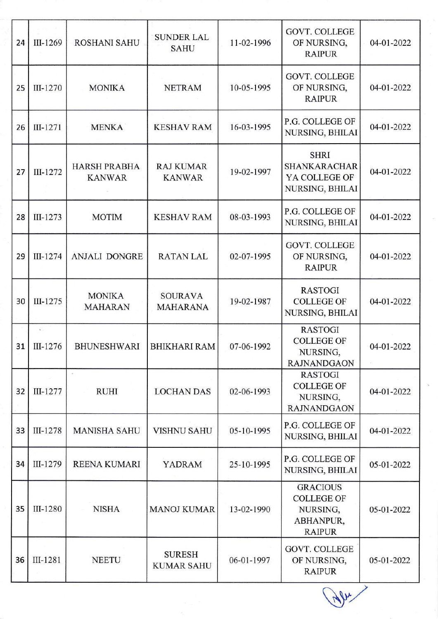| 24 | III-1269    | <b>ROSHANI SAHU</b>             | <b>SUNDER LAL</b><br><b>SAHU</b>   | 11-02-1996 | <b>GOVT. COLLEGE</b><br>OF NURSING,<br><b>RAIPUR</b>                           | 04-01-2022 |
|----|-------------|---------------------------------|------------------------------------|------------|--------------------------------------------------------------------------------|------------|
| 25 | III-1270    | <b>MONIKA</b>                   | <b>NETRAM</b>                      | 10-05-1995 | <b>GOVT. COLLEGE</b><br>OF NURSING,<br><b>RAIPUR</b>                           | 04-01-2022 |
| 26 | III-1271    | <b>MENKA</b>                    | <b>KESHAV RAM</b>                  | 16-03-1995 | P.G. COLLEGE OF<br>NURSING, BHILAI                                             | 04-01-2022 |
| 27 | III-1272    | HARSH PRABHA<br><b>KANWAR</b>   | <b>RAJ KUMAR</b><br><b>KANWAR</b>  | 19-02-1997 | <b>SHRI</b><br><b>SHANKARACHAR</b><br>YA COLLEGE OF<br>NURSING, BHILAI         | 04-01-2022 |
| 28 | III-1273    | <b>MOTIM</b>                    | <b>KESHAV RAM</b>                  | 08-03-1993 | P.G. COLLEGE OF<br>NURSING, BHILAI                                             | 04-01-2022 |
| 29 | III-1274    | <b>ANJALI DONGRE</b>            | <b>RATAN LAL</b>                   | 02-07-1995 | <b>GOVT. COLLEGE</b><br>OF NURSING,<br><b>RAIPUR</b>                           | 04-01-2022 |
| 30 | III-1275    | <b>MONIKA</b><br><b>MAHARAN</b> | <b>SOURAVA</b><br>MAHARANA         | 19-02-1987 | <b>RASTOGI</b><br><b>COLLEGE OF</b><br>NURSING, BHILAI                         | 04-01-2022 |
|    | 31 III-1276 | BHUNESHWARI   BHIKHARI RAM      |                                    | 07-06-1992 | <b>RASTOGI</b><br><b>COLLEGE OF</b><br>NURSING,<br><b>RAJNANDGAON</b>          | 04-01-2022 |
| 32 | III-1277    | <b>RUHI</b>                     | <b>LOCHAN DAS</b>                  | 02-06-1993 | <b>RASTOGI</b><br><b>COLLEGE OF</b><br>NURSING,<br><b>RAJNANDGAON</b>          | 04-01-2022 |
| 33 | III-1278    | <b>MANISHA SAHU</b>             | <b>VISHNU SAHU</b>                 | 05-10-1995 | P.G. COLLEGE OF<br>NURSING, BHILAI                                             | 04-01-2022 |
| 34 | III-1279    | <b>REENA KUMARI</b>             | <b>YADRAM</b>                      | 25-10-1995 | P.G. COLLEGE OF<br>NURSING, BHILAI                                             | 05-01-2022 |
| 35 | III-1280    | <b>NISHA</b>                    | <b>MANOJ KUMAR</b>                 | 13-02-1990 | <b>GRACIOUS</b><br><b>COLLEGE OF</b><br>NURSING,<br>ABHANPUR,<br><b>RAIPUR</b> | 05-01-2022 |
| 36 | III-1281    | <b>NEETU</b>                    | <b>SURESH</b><br><b>KUMAR SAHU</b> | 06-01-1997 | <b>GOVT. COLLEGE</b><br>OF NURSING,<br><b>RAIPUR</b>                           | 05-01-2022 |

**New 1**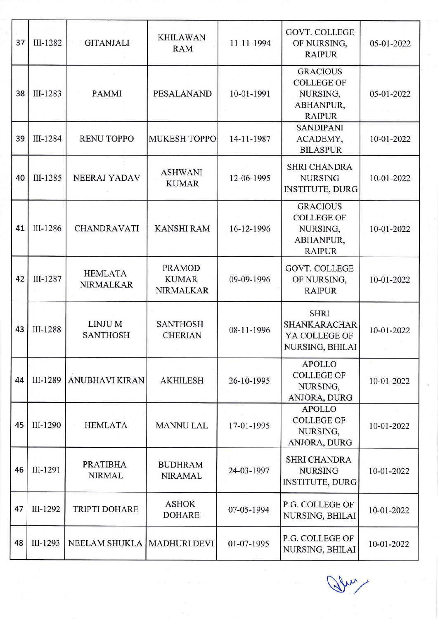| 37 | III-1282 | <b>GITANJALI</b>                   | <b>KHILAWAN</b><br><b>RAM</b>                     | 11-11-1994 | <b>GOVT. COLLEGE</b><br>OF NURSING,<br><b>RAIPUR</b>                           | 05-01-2022 |
|----|----------|------------------------------------|---------------------------------------------------|------------|--------------------------------------------------------------------------------|------------|
| 38 | III-1283 | <b>PAMMI</b>                       | PESALANAND                                        | 10-01-1991 | <b>GRACIOUS</b><br><b>COLLEGE OF</b><br>NURSING,<br>ABHANPUR,<br><b>RAIPUR</b> | 05-01-2022 |
| 39 | III-1284 | <b>RENU TOPPO</b>                  | <b>MUKESH TOPPO</b>                               | 14-11-1987 | <b>SANDIPANI</b><br>ACADEMY,<br><b>BILASPUR</b>                                | 10-01-2022 |
| 40 | III-1285 | <b>NEERAJ YADAV</b>                | <b>ASHWANI</b><br><b>KUMAR</b>                    | 12-06-1995 | <b>SHRI CHANDRA</b><br><b>NURSING</b><br><b>INSTITUTE, DURG</b>                | 10-01-2022 |
| 41 | III-1286 | <b>CHANDRAVATI</b>                 | <b>KANSHI RAM</b>                                 | 16-12-1996 | <b>GRACIOUS</b><br><b>COLLEGE OF</b><br>NURSING,<br>ABHANPUR,<br><b>RAIPUR</b> | 10-01-2022 |
| 42 | III-1287 | <b>HEMLATA</b><br><b>NIRMALKAR</b> | <b>PRAMOD</b><br><b>KUMAR</b><br><b>NIRMALKAR</b> | 09-09-1996 | <b>GOVT. COLLEGE</b><br>OF NURSING,<br><b>RAIPUR</b>                           | 10-01-2022 |
| 43 | III-1288 | LINJU M<br><b>SANTHOSH</b>         | <b>SANTHOSH</b><br><b>CHERIAN</b>                 | 08-11-1996 | <b>SHRI</b><br><b>SHANKARACHAR</b><br>YA COLLEGE OF<br>NURSING, BHILAI         | 10-01-2022 |
| 44 | III-1289 | <b>ANUBHAVI KIRAN</b>              | <b>AKHILESH</b>                                   | 26-10-1995 | <b>APOLLO</b><br><b>COLLEGE OF</b><br>NURSING,<br>ANJORA, DURG                 | 10-01-2022 |
| 45 | III-1290 | <b>HEMLATA</b>                     | <b>MANNU LAL</b>                                  | 17-01-1995 | <b>APOLLO</b><br><b>COLLEGE OF</b><br>NURSING,<br>ANJORA, DURG                 | 10-01-2022 |
| 46 | III-1291 | <b>PRATIBHA</b><br><b>NIRMAL</b>   | <b>BUDHRAM</b><br><b>NIRAMAL</b>                  | 24-03-1997 | <b>SHRI CHANDRA</b><br><b>NURSING</b><br><b>INSTITUTE, DURG</b>                | 10-01-2022 |
| 47 | III-1292 | <b>TRIPTI DOHARE</b>               | <b>ASHOK</b><br><b>DOHARE</b>                     | 07-05-1994 | P.G. COLLEGE OF<br>NURSING, BHILAI                                             | 10-01-2022 |
| 48 | III-1293 | NEELAM SHUKLA   MADHURI DEVI       |                                                   | 01-07-1995 | P.G. COLLEGE OF<br>NURSING, BHILAI                                             | 10-01-2022 |

Jhn